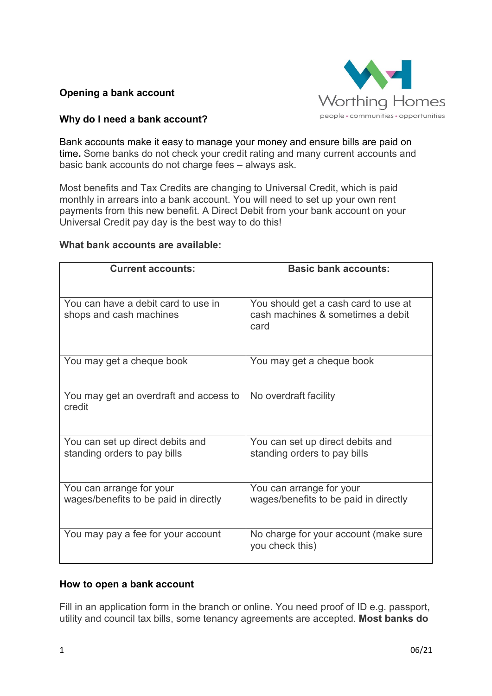## **Opening a bank account**



## **Why do I need a bank account?**

Bank accounts make it easy to manage your money and ensure bills are paid on time**.** Some banks do not check your credit rating and many current accounts and basic bank accounts do not charge fees – always ask.

Most benefits and Tax Credits are changing to Universal Credit, which is paid monthly in arrears into a bank account. You will need to set up your own rent payments from this new benefit. A Direct Debit from your bank account on your Universal Credit pay day is the best way to do this!

## **What bank accounts are available:**

| <b>Current accounts:</b>                                          | <b>Basic bank accounts:</b>                                                       |
|-------------------------------------------------------------------|-----------------------------------------------------------------------------------|
| You can have a debit card to use in<br>shops and cash machines    | You should get a cash card to use at<br>cash machines & sometimes a debit<br>card |
| You may get a cheque book                                         | You may get a cheque book                                                         |
| You may get an overdraft and access to<br>credit                  | No overdraft facility                                                             |
| You can set up direct debits and<br>standing orders to pay bills  | You can set up direct debits and<br>standing orders to pay bills                  |
| You can arrange for your<br>wages/benefits to be paid in directly | You can arrange for your<br>wages/benefits to be paid in directly                 |
| You may pay a fee for your account                                | No charge for your account (make sure<br>you check this)                          |

## **How to open a bank account**

Fill in an application form in the branch or online. You need proof of ID e.g. passport, utility and council tax bills, some tenancy agreements are accepted. **Most banks do**